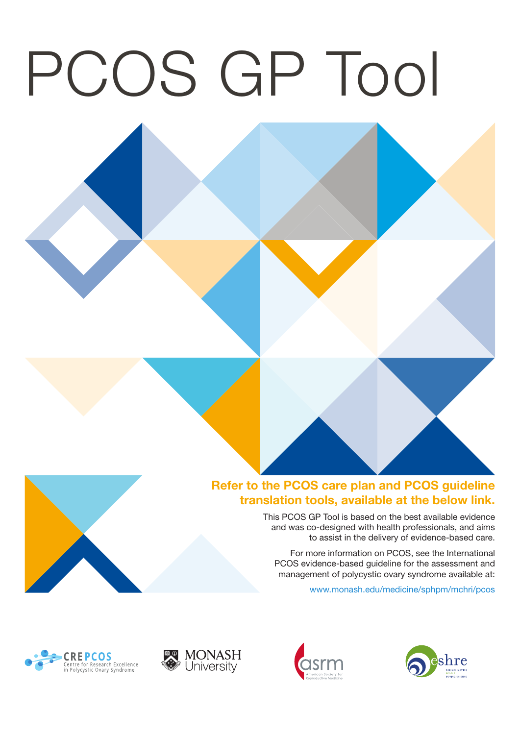# PCOS GP Tool

# Refer to the PCOS care plan and PCOS guideline translation tools, available at the below link.

This PCOS GP Tool is based on the best available evidence and was co-designed with health professionals, and aims to assist in the delivery of evidence-based care.

For more information on PCOS, see the International PCOS evidence-based guideline for the assessment and management of polycystic ovary syndrome available at:

www.monash.edu/medicine/sphpm/mchri/pcos







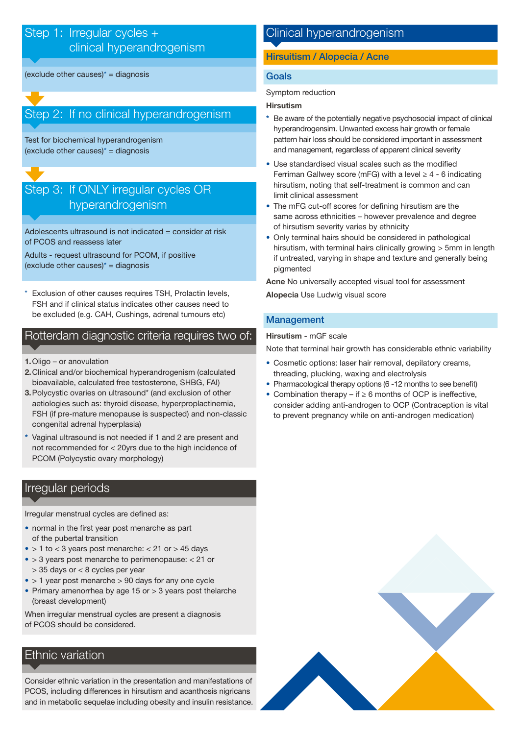# Step 1: Irregular cycles + clinical hyperandrogenism

(exclude other causes) $* =$  diagnosis

# Step 2: If no clinical hyperandrogenism

Test for biochemical hyperandrogenism (exclude other causes) $* =$  diagnosis

# Step 3: If ONLY irregular cycles OR hyperandrogenism

Adolescents ultrasound is not indicated = consider at risk of PCOS and reassess later

Adults - request ultrasound for PCOM, if positive (exclude other causes) $* =$  diagnosis

Exclusion of other causes requires TSH, Prolactin levels, Alopecia Use Ludwig visual score FSH and if clinical status indicates other causes need to be excluded (e.g. CAH, Cushings, adrenal tumours etc)

# Rotterdam diagnostic criteria requires two of:

- 1. Oligo or anovulation
- 2. Clinical and/or biochemical hyperandrogenism (calculated bioavailable, calculated free testosterone, SHBG, FAI)
- 3. Polycystic ovaries on ultrasound\* (and exclusion of other aetiologies such as: thyroid disease, hyperproplactinemia, FSH (if pre-mature menopause is suspected) and non-classic congenital adrenal hyperplasia)
- Vaginal ultrasound is not needed if 1 and 2 are present and not recommended for < 20yrs due to the high incidence of PCOM (Polycystic ovary morphology)

# Irregular periods

Irregular menstrual cycles are defined as:

- normal in the first year post menarche as part of the pubertal transition
- $\bullet$  > 1 to < 3 years post menarche: < 21 or > 45 days
- > 3 years post menarche to perimenopause: < 21 or
- > 35 days or < 8 cycles per year
- $\bullet$  > 1 year post menarche > 90 days for any one cycle
- Primary amenorrhea by age 15 or > 3 years post thelarche (breast development)

When irregular menstrual cycles are present a diagnosis of PCOS should be considered.

# Ethnic variation

Consider ethnic variation in the presentation and manifestations of PCOS, including differences in hirsutism and acanthosis nigricans and in metabolic sequelae including obesity and insulin resistance.

# Clinical hyperandrogenism

# Hirsuitism / Alopecia / Acne

# Goals

Symptom reduction

# Hirsutism

- Be aware of the potentially negative psychosocial impact of clinical hyperandrogensim. Unwanted excess hair growth or female pattern hair loss should be considered important in assessment and management, regardless of apparent clinical severity
- Use standardised visual scales such as the modified Ferriman Gallwey score (mFG) with a level  $\geq 4$  - 6 indicating hirsutism, noting that self-treatment is common and can limit clinical assessment
- The mFG cut-off scores for defining hirsutism are the same across ethnicities – however prevalence and degree of hirsutism severity varies by ethnicity
- Only terminal hairs should be considered in pathological hirsutism, with terminal hairs clinically growing > 5mm in length if untreated, varying in shape and texture and generally being pigmented

Acne No universally accepted visual tool for assessment

# Management

Hirsutism - mGF scale

Note that terminal hair growth has considerable ethnic variability

- Cosmetic options: laser hair removal, depilatory creams, threading, plucking, waxing and electrolysis
- Pharmacological therapy options (6 -12 months to see benefit)
- Combination therapy if ≥ 6 months of OCP is ineffective, consider adding anti-androgen to OCP (Contraception is vital to prevent pregnancy while on anti-androgen medication)

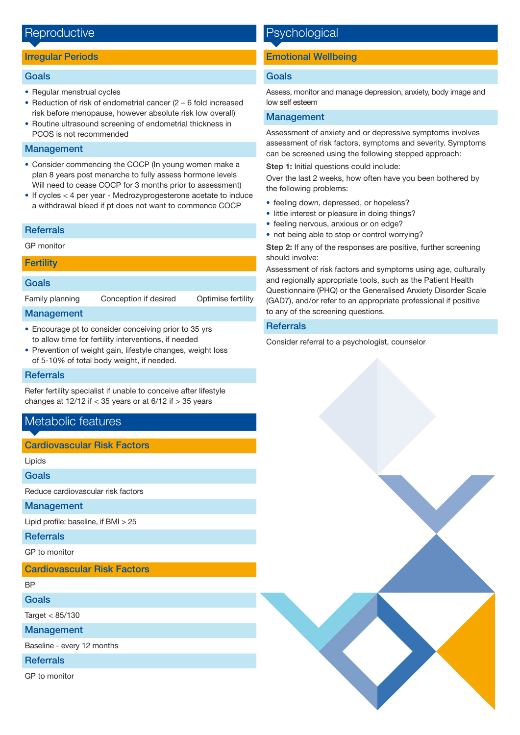# Reproductive

## Irregular Periods

#### Goals

- Regular menstrual cycles
- Reduction of risk of endometrial cancer (2 6 fold increased risk before menopause, however absolute risk low overall)
- Routine ultrasound screening of endometrial thickness in PCOS is not recommended

## Management

- Consider commencing the COCP (In young women make a plan 8 years post menarche to fully assess hormone levels Will need to cease COCP for 3 months prior to assessment)
- If cycles < 4 per year Medrozyprogesterone acetate to induce a withdrawal bleed if pt does not want to commence COCP

#### **Referrals**

GP monitor

#### **Fertility**

# Goals

Family planning Conception if desired Optimise fertility

## Management

- Encourage pt to consider conceiving prior to 35 yrs to allow time for fertility interventions, if needed
- Prevention of weight gain, lifestyle changes, weight loss of 5-10% of total body weight, if needed.

#### **Referrals**

Refer fertility specialist if unable to conceive after lifestyle changes at  $12/12$  if  $<$  35 years or at 6/12 if  $>$  35 years

# Metabolic features

# Cardiovascular Risk Factors

Lipids

Goals

Reduce cardiovascular risk factors

## Management

Lipid profile: baseline, if  $BMI > 25$ 

**Referrals** 

GP to monitor

Cardiovascular Risk Factors

BP

Goals

Target < 85/130

**Management** 

Baseline - every 12 months

**Referrals** 

GP to monitor

# **Psychological**

# Emotional Wellbeing

# Goals

Assess, monitor and manage depression, anxiety, body image and low self esteem

# Management

Assessment of anxiety and or depressive symptoms involves assessment of risk factors, symptoms and severity. Symptoms can be screened using the following stepped approach:

Step 1: Initial questions could include:

Over the last 2 weeks, how often have you been bothered by the following problems:

- feeling down, depressed, or hopeless?
- little interest or pleasure in doing things?
- feeling nervous, anxious or on edge?
- not being able to stop or control worrying?

Step 2: If any of the responses are positive, further screening should involve:

Assessment of risk factors and symptoms using age, culturally and regionally appropriate tools, such as the Patient Health Questionnaire (PHQ) or the Generalised Anxiety Disorder Scale (GAD7), and/or refer to an appropriate professional if positive to any of the screening questions.

# **Referrals**

Consider referral to a psychologist, counselor